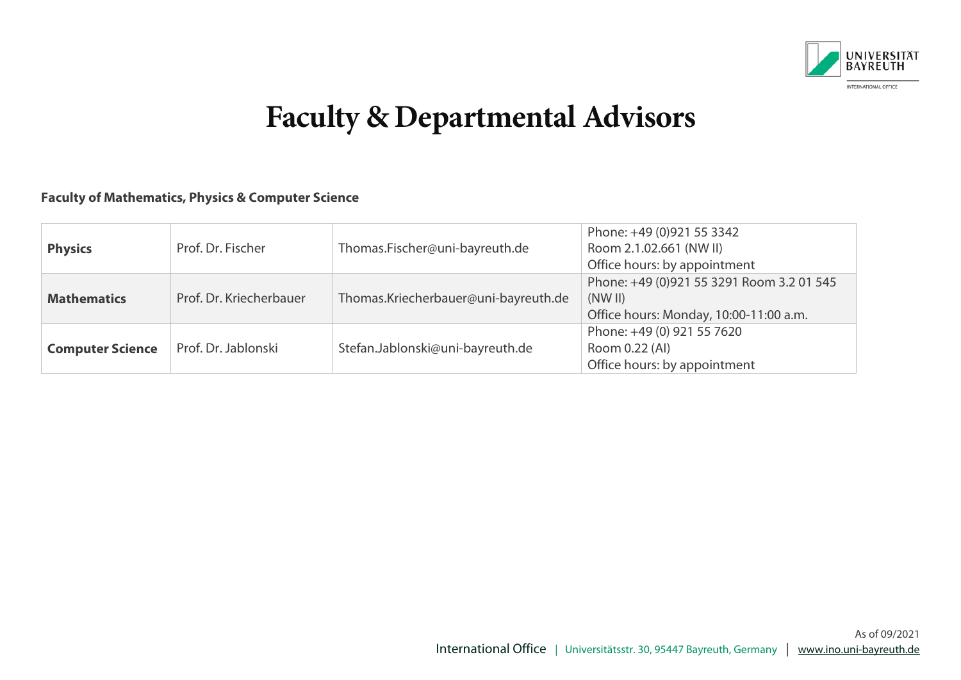

# **Faculty & Departmental Advisors**

#### **Faculty of Mathematics, Physics & Computer Science**

| <b>Physics</b>          | Prof. Dr. Fischer       | Thomas.Fischer@uni-bayreuth.de       | Phone: +49 (0)921 55 3342<br>Room 2.1.02.661 (NW II)<br>Office hours: by appointment          |
|-------------------------|-------------------------|--------------------------------------|-----------------------------------------------------------------------------------------------|
| <b>Mathematics</b>      | Prof. Dr. Kriecherbauer | Thomas.Kriecherbauer@uni-bayreuth.de | Phone: +49 (0)921 55 3291 Room 3.2 01 545<br>(NWII)<br>Office hours: Monday, 10:00-11:00 a.m. |
| <b>Computer Science</b> | Prof. Dr. Jablonski     | Stefan.Jablonski@uni-bayreuth.de     | Phone: +49 (0) 921 55 7620<br>Room 0.22 (AI)<br>Office hours: by appointment                  |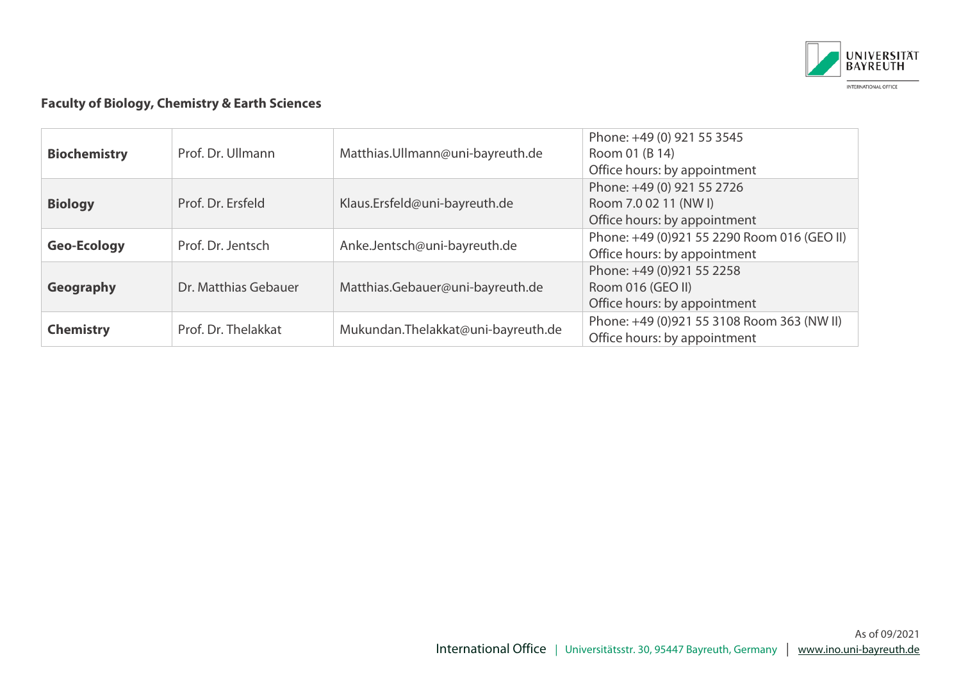

# **Faculty of Biology, Chemistry & Earth Sciences**

| <b>Biochemistry</b> | Prof. Dr. Ullmann    | Matthias. Ullmann@uni-bayreuth.de  | Phone: +49 (0) 921 55 3545<br>Room 01 (B 14)<br>Office hours: by appointment        |
|---------------------|----------------------|------------------------------------|-------------------------------------------------------------------------------------|
| <b>Biology</b>      | Prof. Dr. Ersfeld    | Klaus.Ersfeld@uni-bayreuth.de      | Phone: +49 (0) 921 55 2726<br>Room 7.0 02 11 (NW I)<br>Office hours: by appointment |
| <b>Geo-Ecology</b>  | Prof. Dr. Jentsch    | Anke.Jentsch@uni-bayreuth.de       | Phone: +49 (0)921 55 2290 Room 016 (GEO II)<br>Office hours: by appointment         |
| Geography           | Dr. Matthias Gebauer | Matthias.Gebauer@uni-bayreuth.de   | Phone: +49 (0)921 55 2258<br>Room 016 (GEO II)<br>Office hours: by appointment      |
| <b>Chemistry</b>    | Prof. Dr. Thelakkat  | Mukundan.Thelakkat@uni-bayreuth.de | Phone: +49 (0)921 55 3108 Room 363 (NW II)<br>Office hours: by appointment          |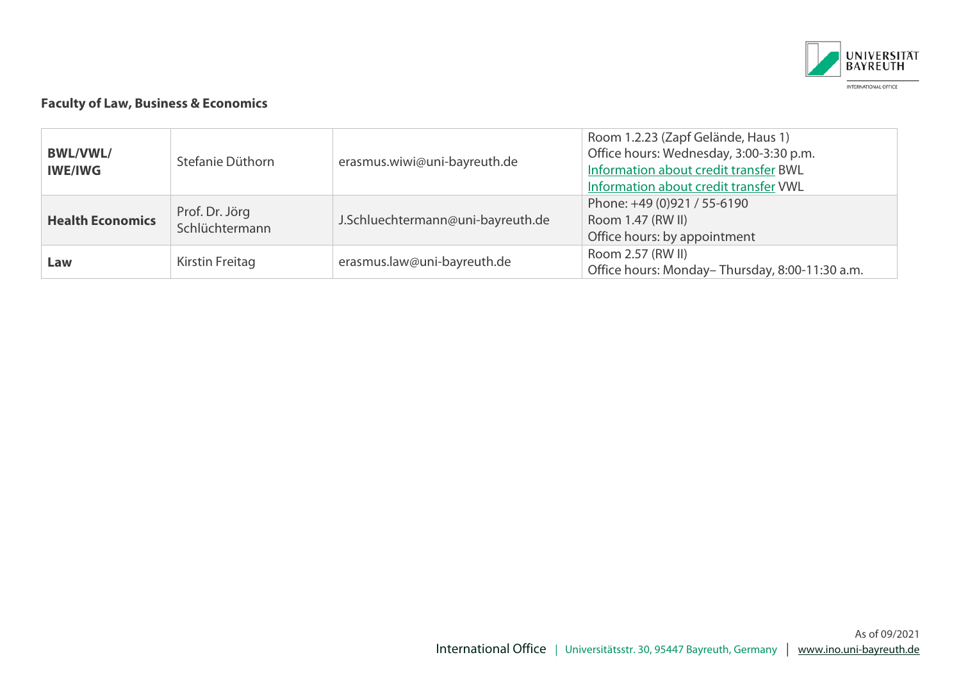

#### **Faculty of Law, Business & Economics**

| <b>BWL/VWL/</b><br><b>IWE/IWG</b> | Stefanie Düthorn                 | erasmus.wiwi@uni-bayreuth.de      | Room 1.2.23 (Zapf Gelände, Haus 1)<br>Office hours: Wednesday, 3:00-3:30 p.m.<br>Information about credit transfer BWL<br>Information about credit transfer VWL |
|-----------------------------------|----------------------------------|-----------------------------------|-----------------------------------------------------------------------------------------------------------------------------------------------------------------|
| <b>Health Economics</b>           | Prof. Dr. Jörg<br>Schlüchtermann | J.Schluechtermann@uni-bayreuth.de | Phone: +49 (0)921 / 55-6190<br>Room 1.47 (RW II)<br>Office hours: by appointment                                                                                |
| Law                               | Kirstin Freitag                  | erasmus.law@uni-bayreuth.de       | Room 2.57 (RW II)<br>Office hours: Monday-Thursday, 8:00-11:30 a.m.                                                                                             |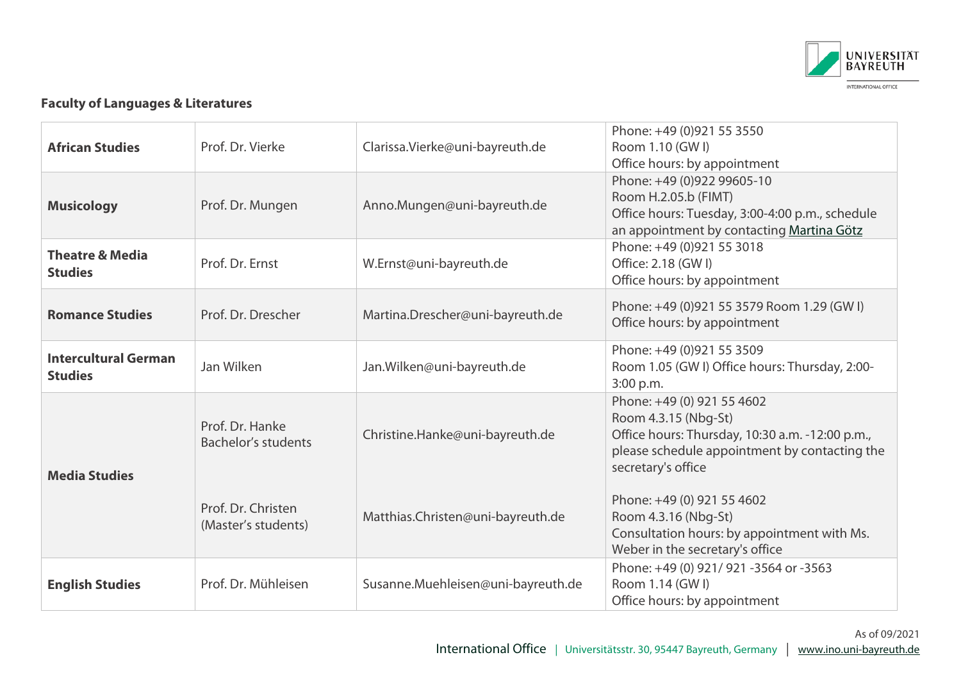

# **Faculty of Languages & Literatures**

| <b>African Studies</b>                        | Prof. Dr. Vierke                              | Clarissa.Vierke@uni-bayreuth.de    | Phone: +49 (0)921 55 3550<br>Room 1.10 (GW I)<br>Office hours: by appointment                                                                                                |
|-----------------------------------------------|-----------------------------------------------|------------------------------------|------------------------------------------------------------------------------------------------------------------------------------------------------------------------------|
| <b>Musicology</b>                             | Prof. Dr. Mungen                              | Anno.Mungen@uni-bayreuth.de        | Phone: +49 (0)922 99605-10<br>Room H.2.05.b (FIMT)<br>Office hours: Tuesday, 3:00-4:00 p.m., schedule<br>an appointment by contacting Martina Götz                           |
| <b>Theatre &amp; Media</b><br><b>Studies</b>  | Prof. Dr. Ernst                               | W.Ernst@uni-bayreuth.de            | Phone: +49 (0)921 55 3018<br>Office: 2.18 (GW I)<br>Office hours: by appointment                                                                                             |
| <b>Romance Studies</b>                        | Prof. Dr. Drescher                            | Martina.Drescher@uni-bayreuth.de   | Phone: +49 (0)921 55 3579 Room 1.29 (GW I)<br>Office hours: by appointment                                                                                                   |
| <b>Intercultural German</b><br><b>Studies</b> | Jan Wilken                                    | Jan.Wilken@uni-bayreuth.de         | Phone: +49 (0)921 55 3509<br>Room 1.05 (GW I) Office hours: Thursday, 2:00-<br>3:00 p.m.                                                                                     |
| <b>Media Studies</b>                          | Prof. Dr. Hanke<br><b>Bachelor's students</b> | Christine.Hanke@uni-bayreuth.de    | Phone: +49 (0) 921 55 4602<br>Room 4.3.15 (Nbg-St)<br>Office hours: Thursday, 10:30 a.m. -12:00 p.m.,<br>please schedule appointment by contacting the<br>secretary's office |
|                                               | Prof. Dr. Christen<br>(Master's students)     | Matthias.Christen@uni-bayreuth.de  | Phone: +49 (0) 921 55 4602<br>Room 4.3.16 (Nbg-St)<br>Consultation hours: by appointment with Ms.<br>Weber in the secretary's office                                         |
| <b>English Studies</b>                        | Prof. Dr. Mühleisen                           | Susanne.Muehleisen@uni-bayreuth.de | Phone: +49 (0) 921/ 921 -3564 or -3563<br>Room 1.14 (GW I)<br>Office hours: by appointment                                                                                   |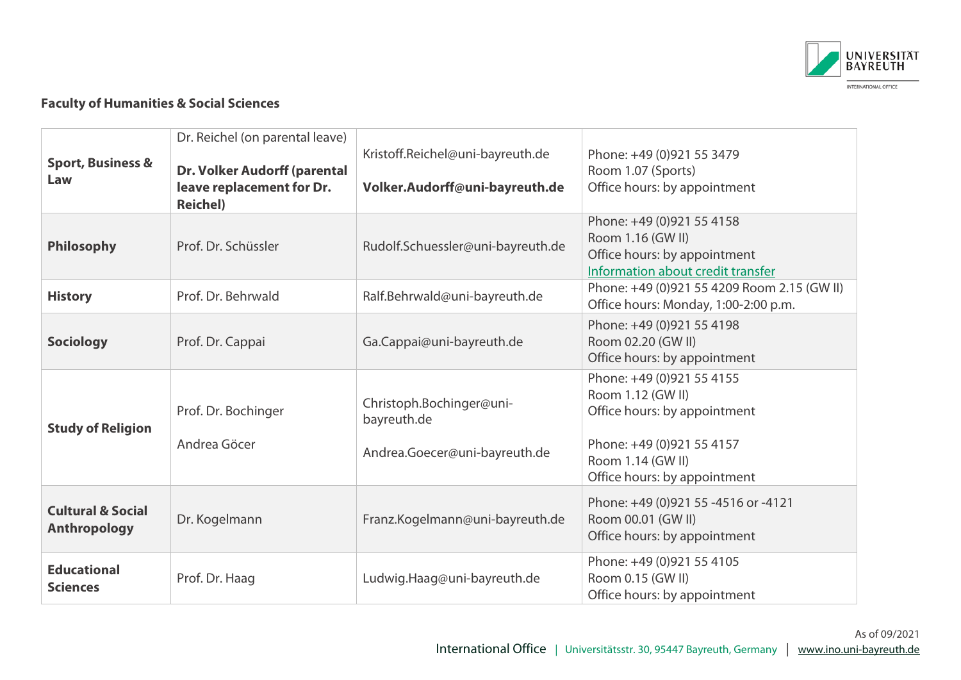

### **Faculty of Humanities & Social Sciences**

| <b>Sport, Business &amp;</b><br>Law                 | Dr. Reichel (on parental leave)<br><b>Dr. Volker Audorff (parental</b><br>leave replacement for Dr.<br><b>Reichel)</b> | Kristoff.Reichel@uni-bayreuth.de<br>Volker.Audorff@uni-bayreuth.de       | Phone: +49 (0)921 55 3479<br>Room 1.07 (Sports)<br>Office hours: by appointment                                                                                  |
|-----------------------------------------------------|------------------------------------------------------------------------------------------------------------------------|--------------------------------------------------------------------------|------------------------------------------------------------------------------------------------------------------------------------------------------------------|
| <b>Philosophy</b>                                   | Prof. Dr. Schüssler                                                                                                    | Rudolf.Schuessler@uni-bayreuth.de                                        | Phone: +49 (0)921 55 4158<br>Room 1.16 (GW II)<br>Office hours: by appointment<br>Information about credit transfer                                              |
| <b>History</b>                                      | Prof. Dr. Behrwald                                                                                                     | Ralf.Behrwald@uni-bayreuth.de                                            | Phone: +49 (0)921 55 4209 Room 2.15 (GW II)<br>Office hours: Monday, 1:00-2:00 p.m.                                                                              |
| <b>Sociology</b>                                    | Prof. Dr. Cappai                                                                                                       | Ga.Cappai@uni-bayreuth.de                                                | Phone: +49 (0)921 55 4198<br>Room 02.20 (GW II)<br>Office hours: by appointment                                                                                  |
| <b>Study of Religion</b>                            | Prof. Dr. Bochinger<br>Andrea Göcer                                                                                    | Christoph.Bochinger@uni-<br>bayreuth.de<br>Andrea.Goecer@uni-bayreuth.de | Phone: +49 (0)921 55 4155<br>Room 1.12 (GW II)<br>Office hours: by appointment<br>Phone: +49 (0)921 55 4157<br>Room 1.14 (GW II)<br>Office hours: by appointment |
| <b>Cultural &amp; Social</b><br><b>Anthropology</b> | Dr. Kogelmann                                                                                                          | Franz.Kogelmann@uni-bayreuth.de                                          | Phone: +49 (0)921 55 -4516 or -4121<br>Room 00.01 (GW II)<br>Office hours: by appointment                                                                        |
| <b>Educational</b><br><b>Sciences</b>               | Prof. Dr. Haag                                                                                                         | Ludwig.Haag@uni-bayreuth.de                                              | Phone: +49 (0)921 55 4105<br>Room 0.15 (GW II)<br>Office hours: by appointment                                                                                   |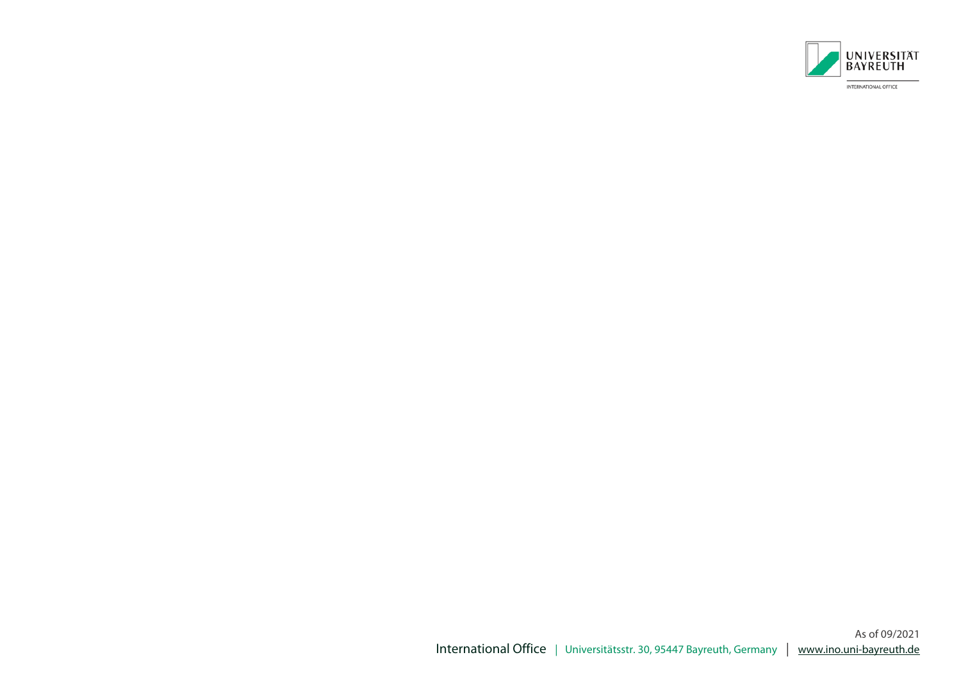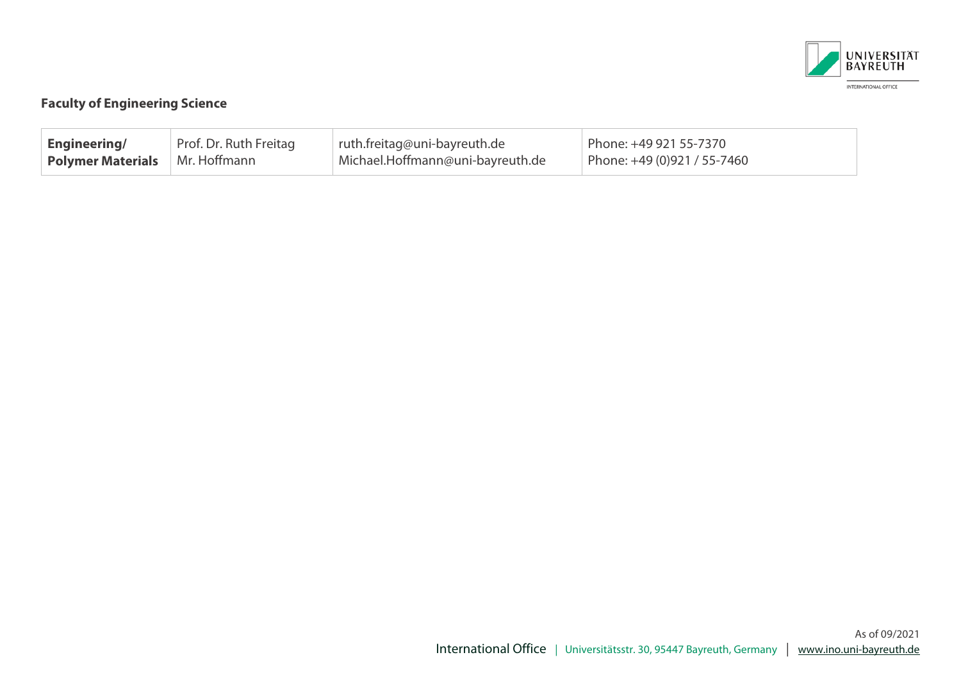

# **Faculty of Engineering Science**

| <b>Engineering/</b>                     | Prof. Dr. Ruth Freitag | ruth.freitag@uni-bayreuth.de     | Phone: +49 921 55-7370      |
|-----------------------------------------|------------------------|----------------------------------|-----------------------------|
| <b>Polymer Materials</b>   Mr. Hoffmann |                        | Michael.Hoffmann@uni-bayreuth.de | Phone: +49 (0)921 / 55-7460 |